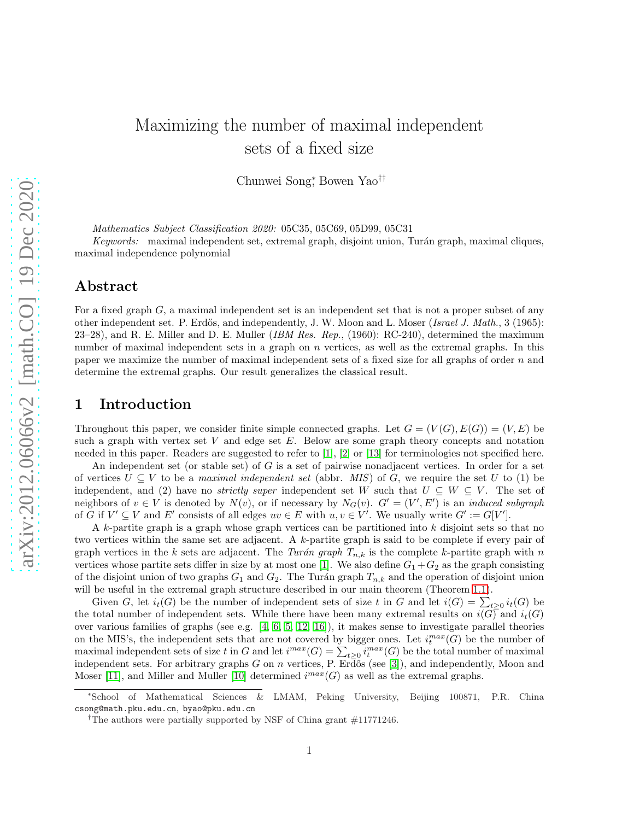# Maximizing the number of maximal independent sets of a fixed size

Chunwei Song<sup>∗</sup> , Bowen Yao††

*Mathematics Subject Classification 2020:* 05C35, 05C69, 05D99, 05C31

*Keywords:* maximal independent set, extremal graph, disjoint union, Turán graph, maximal cliques, maximal independence polynomial

#### Abstract

For a fixed graph G, a maximal independent set is an independent set that is not a proper subset of any other independent set. P. Erdős, and independently, J. W. Moon and L. Moser (*Israel J. Math.*, 3 (1965): 23–28), and R. E. Miller and D. E. Muller (*IBM Res. Rep.*, (1960): RC-240), determined the maximum number of maximal independent sets in a graph on n vertices, as well as the extremal graphs. In this paper we maximize the number of maximal independent sets of a fixed size for all graphs of order n and determine the extremal graphs. Our result generalizes the classical result.

#### 1 Introduction

Throughout this paper, we consider finite simple connected graphs. Let  $G = (V(G), E(G)) = (V, E)$  be such a graph with vertex set  $V$  and edge set  $E$ . Below are some graph theory concepts and notation needed in this paper. Readers are suggested to refer to [\[1\]](#page-2-0), [\[2\]](#page-2-1) or [\[13\]](#page-3-0) for terminologies not specified here.

An independent set (or stable set) of  $G$  is a set of pairwise nonadjacent vertices. In order for a set of vertices  $U \subseteq V$  to be a *maximal independent set* (abbr. *MIS*) of G, we require the set U to (1) be independent, and (2) have no *strictly super* independent set W such that  $U \subseteq W \subseteq V$ . The set of neighbors of  $v \in V$  is denoted by  $N(v)$ , or if necessary by  $N_G(v)$ .  $G' = (V', E')$  is an *induced subgraph* of G if  $V' \subseteq V$  and E' consists of all edges  $uv \in E$  with  $u, v \in V'$ . We usually write  $G' := G[V']$ .

A k-partite graph is a graph whose graph vertices can be partitioned into k disjoint sets so that no two vertices within the same set are adjacent. A k-partite graph is said to be complete if every pair of graph vertices in the k sets are adjacent. The *Turán graph*  $T_{n,k}$  is the complete k-partite graph with n vertices whose partite sets differ in size by at most one [\[1\]](#page-2-0). We also define  $G_1 + G_2$  as the graph consisting of the disjoint union of two graphs  $G_1$  and  $G_2$ . The Turán graph  $T_{n,k}$  and the operation of disjoint union will be useful in the extremal graph structure described in our main theorem (Theorem [1.1\)](#page-1-0).

Given G, let  $i_t(G)$  be the number of independent sets of size t in G and let  $i(G) = \sum_{t \geq 0} i_t(G)$  be the total number of independent sets. While there have been many extremal results on  $i(G)$  and  $i_t(G)$ over various families of graphs (see e.g. [\[4,](#page-2-2) [6,](#page-3-1) [5,](#page-2-3) [12,](#page-3-2) [16\]](#page-3-3)), it makes sense to investigate parallel theories on the MIS's, the independent sets that are not covered by bigger ones. Let  $i_t^{max}(G)$  be the number of maximal independent sets of size t in G and let  $i^{max}(G) = \sum_{t \geq 0} i^{max}_t(G)$  be the total number of maximal independent sets. For arbitrary graphs G on n vertices, P. Erdős (see [\[3\]](#page-2-4)), and independently, Moon and Moser [\[11\]](#page-3-4), and Miller and Muller [\[10\]](#page-3-5) determined  $i^{max}(G)$  as well as the extremal graphs.

<sup>\*</sup>School of Mathematical Sciences & LMAM, Peking University, Beijing 100871, P.R. China csong@math.pku.edu.cn, byao@pku.edu.cn

<sup>&</sup>lt;sup>†</sup>The authors were partially supported by NSF of China grant  $\#11771246$ .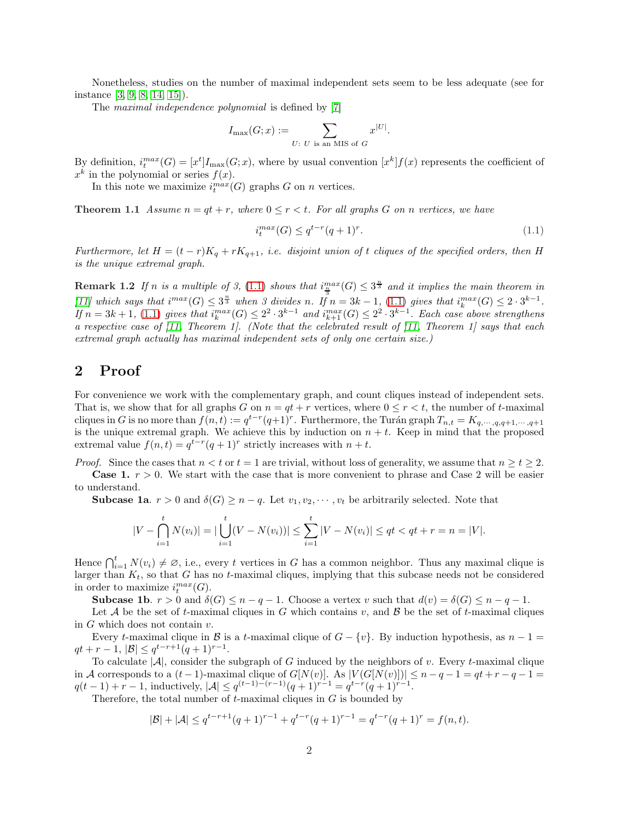Nonetheless, studies on the number of maximal independent sets seem to be less adequate (see for instance [\[3,](#page-2-4) [9,](#page-3-6) [8,](#page-3-7) [14,](#page-3-8) [15\]](#page-3-9)).

The *maximal independence polynomial* is defined by [\[7\]](#page-3-10)

$$
I_{\max}(G; x) := \sum_{U: U \text{ is an MIS of } G} x^{|U|}
$$

By definition,  $i_t^{max}(G) = [x^t]I_{max}(G; x)$ , where by usual convention  $[x^k]f(x)$  represents the coefficient of  $x^k$  in the polynomial or series  $f(x)$ .

<span id="page-1-0"></span>In this note we maximize  $i_t^{max}(G)$  graphs G on n vertices.

**Theorem 1.1** Assume  $n = qt + r$ , where  $0 \leq r < t$ . For all graphs G on n vertices, we have

<span id="page-1-1"></span>
$$
i_t^{\max}(G) \le q^{t-r}(q+1)^r. \tag{1.1}
$$

.

*Furthermore, let*  $H = (t - r)K_q + rK_{q+1}$ , *i.e. disjoint union of t cliques of the specified orders, then* H *is the unique extremal graph.*

**Remark 1.2** If n is a multiple of 3, [\(1.1\)](#page-1-1) shows that  $i_{\frac{m}{3}}^{max}(G) \leq 3^{\frac{n}{3}}$  and it implies the main theorem in  $[11]$  which says that  $i^{max}(G) \leq 3^{\frac{n}{3}}$  when 3 divides n. If  $n = 3k - 1$ , [\(1.1\)](#page-1-1) gives that  $i_k^{max}(G) \leq 2 \cdot 3^{k-1}$ . If  $n = 3k + 1$ , [\(1.1\)](#page-1-1) gives that  $i_k^{max}(G) \leq 2^2 \cdot 3^{k-1}$  and  $i_{k+1}^{max}(G) \leq 2^2 \cdot 3^{k-1}$ . Each case above strengthens *a respective case of [\[11,](#page-3-4) Theorem 1]. (Note that the celebrated result of [\[11,](#page-3-4) Theorem 1] says that each extremal graph actually has maximal independent sets of only one certain size.)*

## 2 Proof

For convenience we work with the complementary graph, and count cliques instead of independent sets. That is, we show that for all graphs G on  $n = qt + r$  vertices, where  $0 \le r < t$ , the number of t-maximal cliques in G is no more than  $f(n,t) := q^{t-r}(q+1)^r$ . Furthermore, the Turán graph  $T_{n,t} = K_{q,\dots,q,q+1,\dots,q+1}$ is the unique extremal graph. We achieve this by induction on  $n + t$ . Keep in mind that the proposed extremal value  $f(n,t) = q^{t-r}(q+1)^r$  strictly increases with  $n + t$ .

*Proof.* Since the cases that  $n < t$  or  $t = 1$  are trivial, without loss of generality, we assume that  $n \ge t \ge 2$ .

**Case 1.**  $r > 0$ . We start with the case that is more convenient to phrase and Case 2 will be easier to understand.

**Subcase 1a.**  $r > 0$  and  $\delta(G) \geq n - q$ . Let  $v_1, v_2, \dots, v_t$  be arbitrarily selected. Note that

$$
|V - \bigcap_{i=1}^{t} N(v_i)| = |\bigcup_{i=1}^{t} (V - N(v_i))| \le \sum_{i=1}^{t} |V - N(v_i)| \le qt < qt + r = n = |V|.
$$

Hence  $\bigcap_{i=1}^{t} N(v_i) \neq \emptyset$ , i.e., every t vertices in G has a common neighbor. Thus any maximal clique is larger than  $K_t$ , so that G has no t-maximal cliques, implying that this subcase needs not be considered in order to maximize  $i_t^{max}(G)$ .

**Subcase 1b.**  $r > 0$  and  $\delta(G) \leq n - q - 1$ . Choose a vertex v such that  $d(v) = \delta(G) \leq n - q - 1$ .

Let A be the set of t-maximal cliques in G which contains v, and B be the set of t-maximal cliques in  $G$  which does not contain  $v$ .

Every t-maximal clique in B is a t-maximal clique of  $G - \{v\}$ . By induction hypothesis, as  $n - 1 =$  $qt + r - 1, |\mathcal{B}| \leq q^{t-r+1}(q+1)^{r-1}.$ 

To calculate  $|\mathcal{A}|$ , consider the subgraph of G induced by the neighbors of v. Every t-maximal clique in A corresponds to a  $(t-1)$ -maximal clique of  $G[N(v)]$ . As  $|V(G[N(v)])| \leq n-q-1 = qt+r-q-1$  $q(t-1) + r - 1$ , inductively,  $|\mathcal{A}| \leq q^{(t-1)-(r-1)}(q+1)^{r-1} = q^{t-r}(q+1)^{r-1}$ .

Therefore, the total number of  $t$ -maximal cliques in  $G$  is bounded by

$$
|\mathcal{B}| + |\mathcal{A}| \le q^{t-r+1}(q+1)^{r-1} + q^{t-r}(q+1)^{r-1} = q^{t-r}(q+1)^r = f(n,t).
$$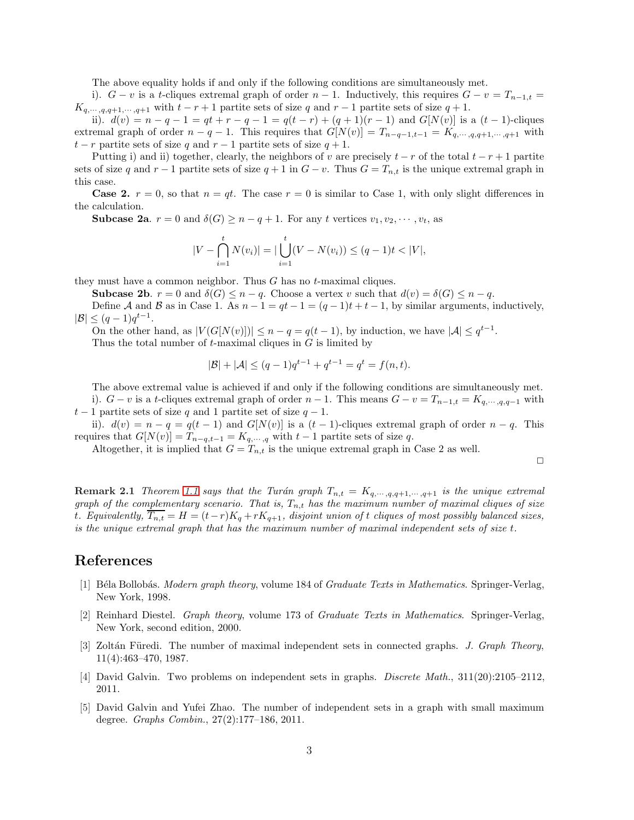The above equality holds if and only if the following conditions are simultaneously met.

i).  $G - v$  is a t-cliques extremal graph of order  $n - 1$ . Inductively, this requires  $G - v = T_{n-1,t}$  $K_{q,\dots,q,q+1,\dots,q+1}$  with  $t-r+1$  partite sets of size q and  $r-1$  partite sets of size  $q+1$ .

ii).  $d(v) = n - q - 1 = qt + r - q - 1 = q(t - r) + (q + 1)(r - 1)$  and  $G[N(v)]$  is a  $(t - 1)$ -cliques extremal graph of order  $n - q - 1$ . This requires that  $G[N(v)] = T_{n-q-1,t-1} = K_{q,\cdots,q,q+1,\cdots,q+1}$  with  $t - r$  partite sets of size q and  $r - 1$  partite sets of size  $q + 1$ .

Putting i) and ii) together, clearly, the neighbors of v are precisely  $t - r$  of the total  $t - r + 1$  partite sets of size q and r − 1 partite sets of size  $q + 1$  in  $G - v$ . Thus  $G = T_{n,t}$  is the unique extremal graph in this case.

**Case 2.**  $r = 0$ , so that  $n = qt$ . The case  $r = 0$  is similar to Case 1, with only slight differences in the calculation.

**Subcase 2a.**  $r = 0$  and  $\delta(G) \geq n - q + 1$ . For any t vertices  $v_1, v_2, \dots, v_t$ , as

$$
|V - \bigcap_{i=1}^{t} N(v_i)| = |\bigcup_{i=1}^{t} (V - N(v_i)) \le (q-1)t < |V|,
$$

they must have a common neighbor. Thus  $G$  has no  $t$ -maximal cliques.

**Subcase 2b.**  $r = 0$  and  $\delta(G) \leq n - q$ . Choose a vertex v such that  $d(v) = \delta(G) \leq n - q$ .

Define A and B as in Case 1. As  $n-1 = qt - 1 = (q-1)t + t - 1$ , by similar arguments, inductively,  $|\mathcal{B}| \leq (q-1)q^{t-1}.$ 

On the other hand, as  $|V(G[N(v)])| \leq n - q = q(t-1)$ , by induction, we have  $|\mathcal{A}| \leq q^{t-1}$ .

Thus the total number of  $t$ -maximal cliques in  $G$  is limited by

$$
|\mathcal{B}| + |\mathcal{A}| \le (q-1)q^{t-1} + q^{t-1} = q^t = f(n, t).
$$

The above extremal value is achieved if and only if the following conditions are simultaneously met. i).  $G - v$  is a t-cliques extremal graph of order  $n - 1$ . This means  $G - v = T_{n-1,t} = K_{q,\cdots,q,q-1}$  with  $t-1$  partite sets of size q and 1 partite set of size  $q-1$ .

ii).  $d(v) = n - q = q(t - 1)$  and  $G[N(v)]$  is a  $(t - 1)$ -cliques extremal graph of order  $n - q$ . This requires that  $G[N(v)] = T_{n-q,t-1} = K_{q,\dots,q}$  with  $t-1$  partite sets of size q.

Altogether, it is implied that  $G = T_{n,t}$  is the unique extremal graph in Case 2 as well.

 $\Box$ 

**Remark 2.1** *Theorem* [1.1](#page-1-0) *says that the Turán graph*  $T_{n,t} = K_{q,\dots,q,q+1,\dots,q+1}$  *is the unique extremal graph of the complementary scenario. That is,*  $T_{n,t}$  *has the maximum number of maximal cliques of size* t. Equivalently,  $T_{n,t} = H = (t-r)K_q + rK_{q+1}$ , disjoint union of t *cliques of most possibly balanced sizes*, *is the unique extremal graph that has the maximum number of maximal independent sets of size* t*.*

## <span id="page-2-0"></span>References

- [1] B´ela Bollob´as. *Modern graph theory*, volume 184 of *Graduate Texts in Mathematics*. Springer-Verlag, New York, 1998.
- <span id="page-2-1"></span>[2] Reinhard Diestel. *Graph theory*, volume 173 of *Graduate Texts in Mathematics*. Springer-Verlag, New York, second edition, 2000.
- <span id="page-2-4"></span>[3] Zoltán Füredi. The number of maximal independent sets in connected graphs. *J. Graph Theory*, 11(4):463–470, 1987.
- <span id="page-2-3"></span><span id="page-2-2"></span>[4] David Galvin. Two problems on independent sets in graphs. *Discrete Math.*, 311(20):2105–2112, 2011.
- [5] David Galvin and Yufei Zhao. The number of independent sets in a graph with small maximum degree. *Graphs Combin.*, 27(2):177–186, 2011.